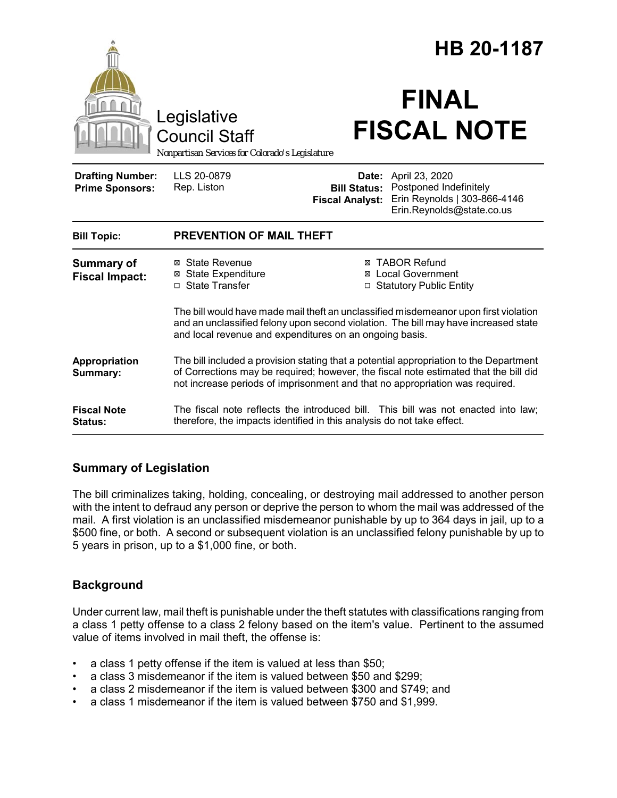|                                                                                        |                                                                                                                                                                                                                                                                | HB 20-1187                                             |                                                                                                       |
|----------------------------------------------------------------------------------------|----------------------------------------------------------------------------------------------------------------------------------------------------------------------------------------------------------------------------------------------------------------|--------------------------------------------------------|-------------------------------------------------------------------------------------------------------|
| Legislative<br><b>Council Staff</b><br>Nonpartisan Services for Colorado's Legislature |                                                                                                                                                                                                                                                                | <b>FINAL</b><br><b>FISCAL NOTE</b>                     |                                                                                                       |
| <b>Drafting Number:</b><br><b>Prime Sponsors:</b>                                      | LLS 20-0879<br>Rep. Liston                                                                                                                                                                                                                                     | Date:<br><b>Bill Status:</b><br><b>Fiscal Analyst:</b> | April 23, 2020<br>Postponed Indefinitely<br>Erin Reynolds   303-866-4146<br>Erin.Reynolds@state.co.us |
| <b>Bill Topic:</b>                                                                     | <b>PREVENTION OF MAIL THEFT</b>                                                                                                                                                                                                                                |                                                        |                                                                                                       |
| <b>Summary of</b><br><b>Fiscal Impact:</b>                                             | ⊠ State Revenue<br><b>⊠</b> State Expenditure<br>□ State Transfer                                                                                                                                                                                              |                                                        | <b>⊠ TABOR Refund</b><br>⊠ Local Government<br>□ Statutory Public Entity                              |
|                                                                                        | The bill would have made mail theft an unclassified misdemeanor upon first violation<br>and an unclassified felony upon second violation. The bill may have increased state<br>and local revenue and expenditures on an ongoing basis.                         |                                                        |                                                                                                       |
| Appropriation<br>Summary:                                                              | The bill included a provision stating that a potential appropriation to the Department<br>of Corrections may be required; however, the fiscal note estimated that the bill did<br>not increase periods of imprisonment and that no appropriation was required. |                                                        |                                                                                                       |
| <b>Fiscal Note</b><br>Status:                                                          | therefore, the impacts identified in this analysis do not take effect.                                                                                                                                                                                         |                                                        | The fiscal note reflects the introduced bill. This bill was not enacted into law;                     |

### **Summary of Legislation**

The bill criminalizes taking, holding, concealing, or destroying mail addressed to another person with the intent to defraud any person or deprive the person to whom the mail was addressed of the mail. A first violation is an unclassified misdemeanor punishable by up to 364 days in jail, up to a \$500 fine, or both. A second or subsequent violation is an unclassified felony punishable by up to 5 years in prison, up to a \$1,000 fine, or both.

## **Background**

Under current law, mail theft is punishable under the theft statutes with classifications ranging from a class 1 petty offense to a class 2 felony based on the item's value. Pertinent to the assumed value of items involved in mail theft, the offense is:

- a class 1 petty offense if the item is valued at less than \$50;
- a class 3 misdemeanor if the item is valued between \$50 and \$299;
- a class 2 misdemeanor if the item is valued between \$300 and \$749; and
- a class 1 misdemeanor if the item is valued between \$750 and \$1,999.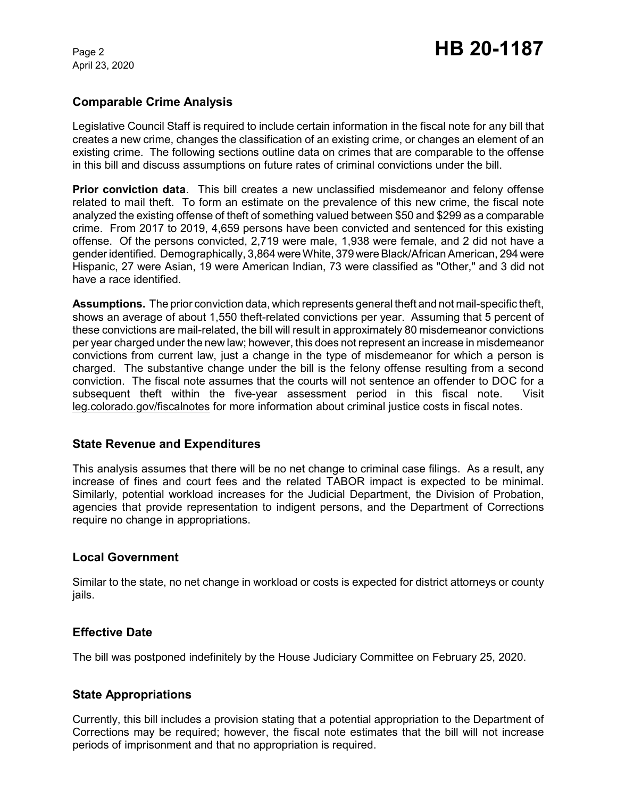April 23, 2020

### **Comparable Crime Analysis**

Legislative Council Staff is required to include certain information in the fiscal note for any bill that creates a new crime, changes the classification of an existing crime, or changes an element of an existing crime. The following sections outline data on crimes that are comparable to the offense in this bill and discuss assumptions on future rates of criminal convictions under the bill.

**Prior conviction data**. This bill creates a new unclassified misdemeanor and felony offense related to mail theft. To form an estimate on the prevalence of this new crime, the fiscal note analyzed the existing offense of theft of something valued between \$50 and \$299 as a comparable crime. From 2017 to 2019, 4,659 persons have been convicted and sentenced for this existing offense. Of the persons convicted, 2,719 were male, 1,938 were female, and 2 did not have a gender identified. Demographically, 3,864 were White, 379 were Black/African American, 294 were Hispanic, 27 were Asian, 19 were American Indian, 73 were classified as "Other," and 3 did not have a race identified.

**Assumptions.** The prior conviction data, which represents general theft and not mail-specific theft, shows an average of about 1,550 theft-related convictions per year. Assuming that 5 percent of these convictions are mail-related, the bill will result in approximately 80 misdemeanor convictions per year charged under the new law; however, this does not represent an increase in misdemeanor convictions from current law, just a change in the type of misdemeanor for which a person is charged. The substantive change under the bill is the felony offense resulting from a second conviction. The fiscal note assumes that the courts will not sentence an offender to DOC for a subsequent theft within the five-year assessment period in this fiscal note. Visit leg.colorado.gov/fiscalnotes for more information about criminal justice costs in fiscal notes.

### **State Revenue and Expenditures**

This analysis assumes that there will be no net change to criminal case filings. As a result, any increase of fines and court fees and the related TABOR impact is expected to be minimal. Similarly, potential workload increases for the Judicial Department, the Division of Probation, agencies that provide representation to indigent persons, and the Department of Corrections require no change in appropriations.

### **Local Government**

Similar to the state, no net change in workload or costs is expected for district attorneys or county jails.

### **Effective Date**

The bill was postponed indefinitely by the House Judiciary Committee on February 25, 2020.

### **State Appropriations**

Currently, this bill includes a provision stating that a potential appropriation to the Department of Corrections may be required; however, the fiscal note estimates that the bill will not increase periods of imprisonment and that no appropriation is required.